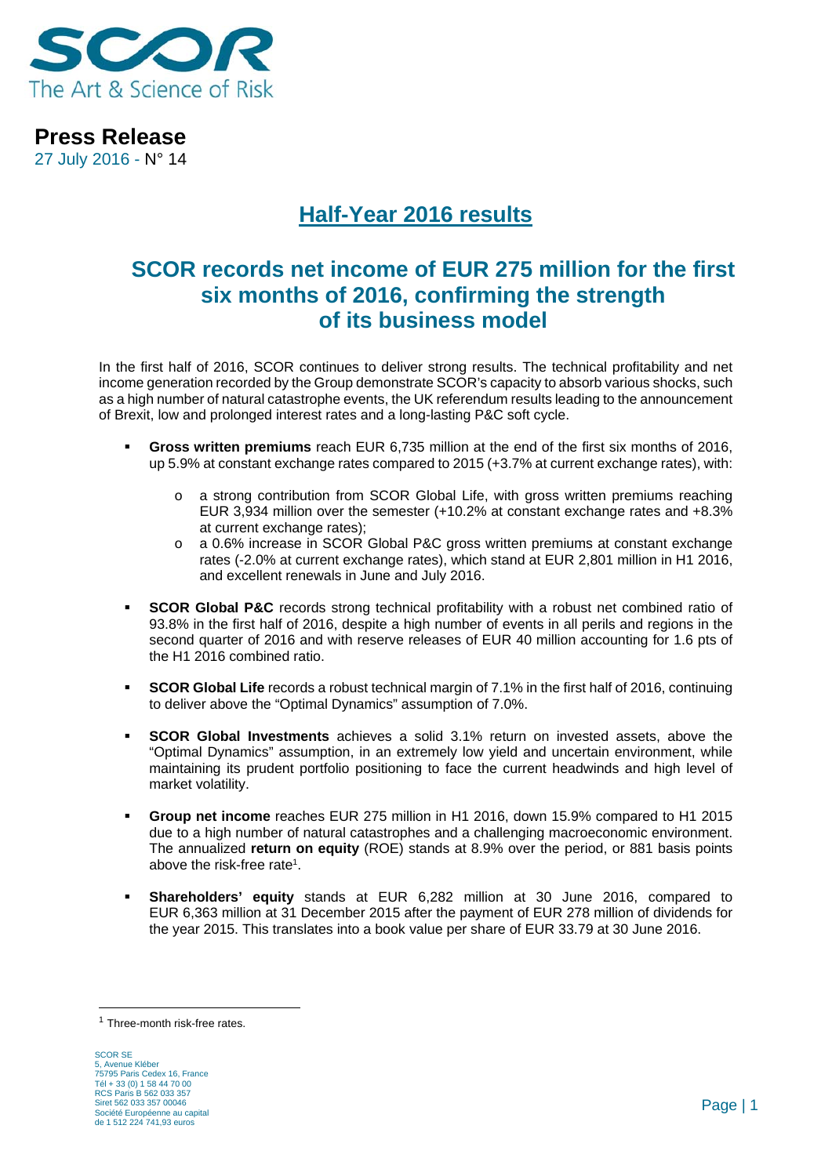

**Press Release**  27 July 2016 - N° 14

# **Half-Year 2016 results**

# **SCOR records net income of EUR 275 million for the first six months of 2016, confirming the strength of its business model**

In the first half of 2016, SCOR continues to deliver strong results. The technical profitability and net income generation recorded by the Group demonstrate SCOR's capacity to absorb various shocks, such as a high number of natural catastrophe events, the UK referendum results leading to the announcement of Brexit, low and prolonged interest rates and a long-lasting P&C soft cycle.

- **Gross written premiums** reach EUR 6,735 million at the end of the first six months of 2016, up 5.9% at constant exchange rates compared to 2015 (+3.7% at current exchange rates), with:
	- o a strong contribution from SCOR Global Life, with gross written premiums reaching EUR 3,934 million over the semester (+10.2% at constant exchange rates and +8.3% at current exchange rates);
	- a 0.6% increase in SCOR Global P&C gross written premiums at constant exchange rates (-2.0% at current exchange rates), which stand at EUR 2,801 million in H1 2016, and excellent renewals in June and July 2016.
- **SCOR Global P&C** records strong technical profitability with a robust net combined ratio of 93.8% in the first half of 2016, despite a high number of events in all perils and regions in the second quarter of 2016 and with reserve releases of EUR 40 million accounting for 1.6 pts of the H1 2016 combined ratio.
- **SCOR Global Life** records a robust technical margin of 7.1% in the first half of 2016, continuing to deliver above the "Optimal Dynamics" assumption of 7.0%.
- **SCOR Global Investments** achieves a solid 3.1% return on invested assets, above the "Optimal Dynamics" assumption, in an extremely low yield and uncertain environment, while maintaining its prudent portfolio positioning to face the current headwinds and high level of market volatility.
- **Group net income** reaches EUR 275 million in H1 2016, down 15.9% compared to H1 2015 due to a high number of natural catastrophes and a challenging macroeconomic environment. The annualized **return on equity** (ROE) stands at 8.9% over the period, or 881 basis points above the risk-free rate1.
- **Shareholders' equity** stands at EUR 6,282 million at 30 June 2016, compared to EUR 6,363 million at 31 December 2015 after the payment of EUR 278 million of dividends for the year 2015. This translates into a book value per share of EUR 33.79 at 30 June 2016.

<sup>1</sup> Three-month risk-free rates.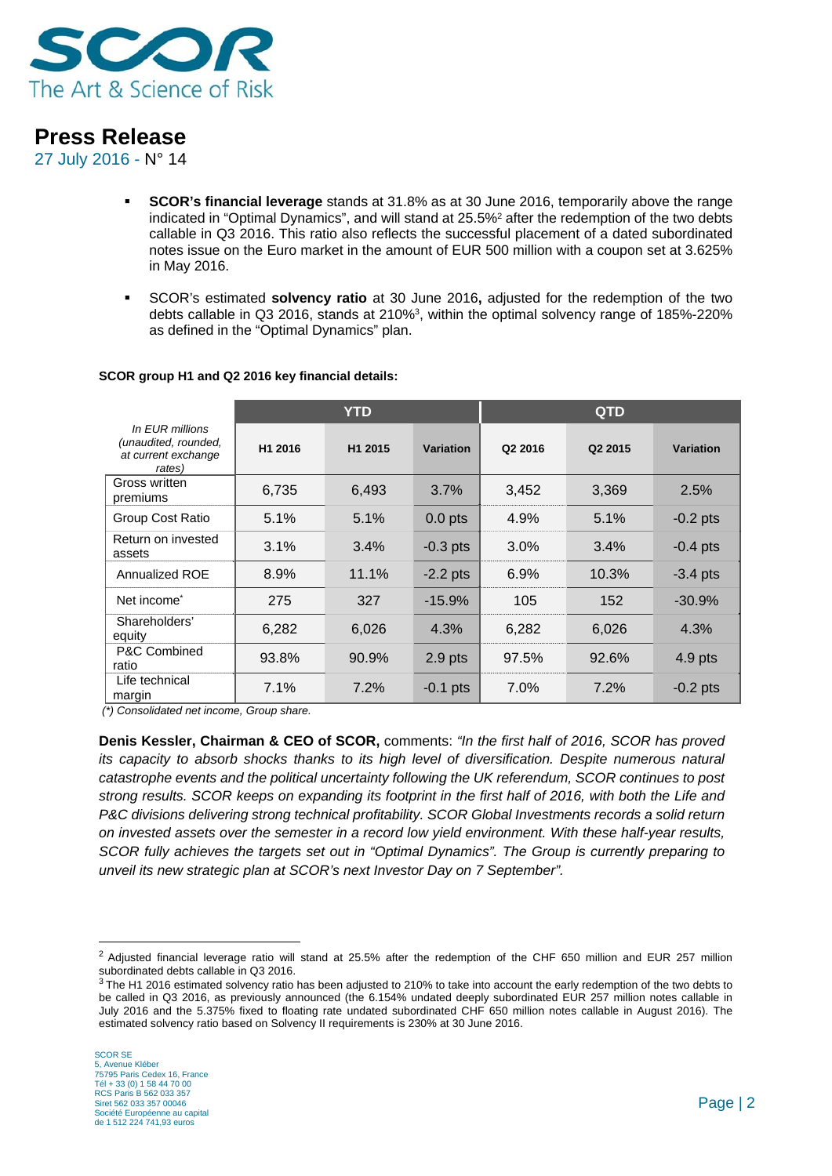

27 July 2016 - N° 14

- **SCOR's financial leverage** stands at 31.8% as at 30 June 2016, temporarily above the range indicated in "Optimal Dynamics", and will stand at 25.5%2 after the redemption of the two debts callable in Q3 2016. This ratio also reflects the successful placement of a dated subordinated notes issue on the Euro market in the amount of EUR 500 million with a coupon set at 3.625% in May 2016.
- SCOR's estimated **solvency ratio** at 30 June 2016**,** adjusted for the redemption of the two debts callable in Q3 2016, stands at 210%3, within the optimal solvency range of 185%-220% as defined in the "Optimal Dynamics" plan.

|                                                                          | <b>YTD</b> |         |                  | <b>QTD</b> |                     |            |
|--------------------------------------------------------------------------|------------|---------|------------------|------------|---------------------|------------|
| In EUR millions<br>(unaudited, rounded,<br>at current exchange<br>rates) | H1 2016    | H1 2015 | <b>Variation</b> | Q2 2016    | Q <sub>2</sub> 2015 | Variation  |
| Gross written<br>premiums                                                | 6,735      | 6,493   | 3.7%             | 3,452      | 3,369               | 2.5%       |
| Group Cost Ratio                                                         | 5.1%       | 5.1%    | $0.0$ pts        | 4.9%       | 5.1%                | $-0.2$ pts |
| Return on invested<br>assets                                             | 3.1%       | 3.4%    | $-0.3$ pts       | 3.0%       | 3.4%                | $-0.4$ pts |
| Annualized ROE                                                           | 8.9%       | 11.1%   | $-2.2$ pts       | 6.9%       | 10.3%               | $-3.4$ pts |
| Net income <sup>*</sup>                                                  | 275        | 327     | $-15.9%$         | 105        | 152                 | $-30.9%$   |
| Shareholders'<br>equity                                                  | 6,282      | 6,026   | 4.3%             | 6,282      | 6,026               | 4.3%       |
| P&C Combined<br>ratio                                                    | 93.8%      | 90.9%   | $2.9$ pts        | 97.5%      | 92.6%               | $4.9$ pts  |
| Life technical<br>margin                                                 | 7.1%       | 7.2%    | $-0.1$ pts       | 7.0%       | 7.2%                | $-0.2$ pts |

#### **SCOR group H1 and Q2 2016 key financial details:**

 *(\*) Consolidated net income, Group share.* 

**Denis Kessler, Chairman & CEO of SCOR,** comments: *"In the first half of 2016, SCOR has proved its capacity to absorb shocks thanks to its high level of diversification. Despite numerous natural catastrophe events and the political uncertainty following the UK referendum, SCOR continues to post strong results. SCOR keeps on expanding its footprint in the first half of 2016, with both the Life and P&C divisions delivering strong technical profitability. SCOR Global Investments records a solid return on invested assets over the semester in a record low yield environment. With these half-year results, SCOR fully achieves the targets set out in "Optimal Dynamics". The Group is currently preparing to unveil its new strategic plan at SCOR's next Investor Day on 7 September".* 

<sup>&</sup>lt;sup>2</sup> Adjusted financial leverage ratio will stand at 25.5% after the redemption of the CHF 650 million and EUR 257 million subordinated debts callable in Q3 2016.

<sup>&</sup>lt;sup>3</sup> The H1 2016 estimated solvency ratio has been adjusted to 210% to take into account the early redemption of the two debts to be called in Q3 2016, as previously announced (the 6.154% undated deeply subordinated EUR 257 million notes callable in July 2016 and the 5.375% fixed to floating rate undated subordinated CHF 650 million notes callable in August 2016). The estimated solvency ratio based on Solvency II requirements is 230% at 30 June 2016.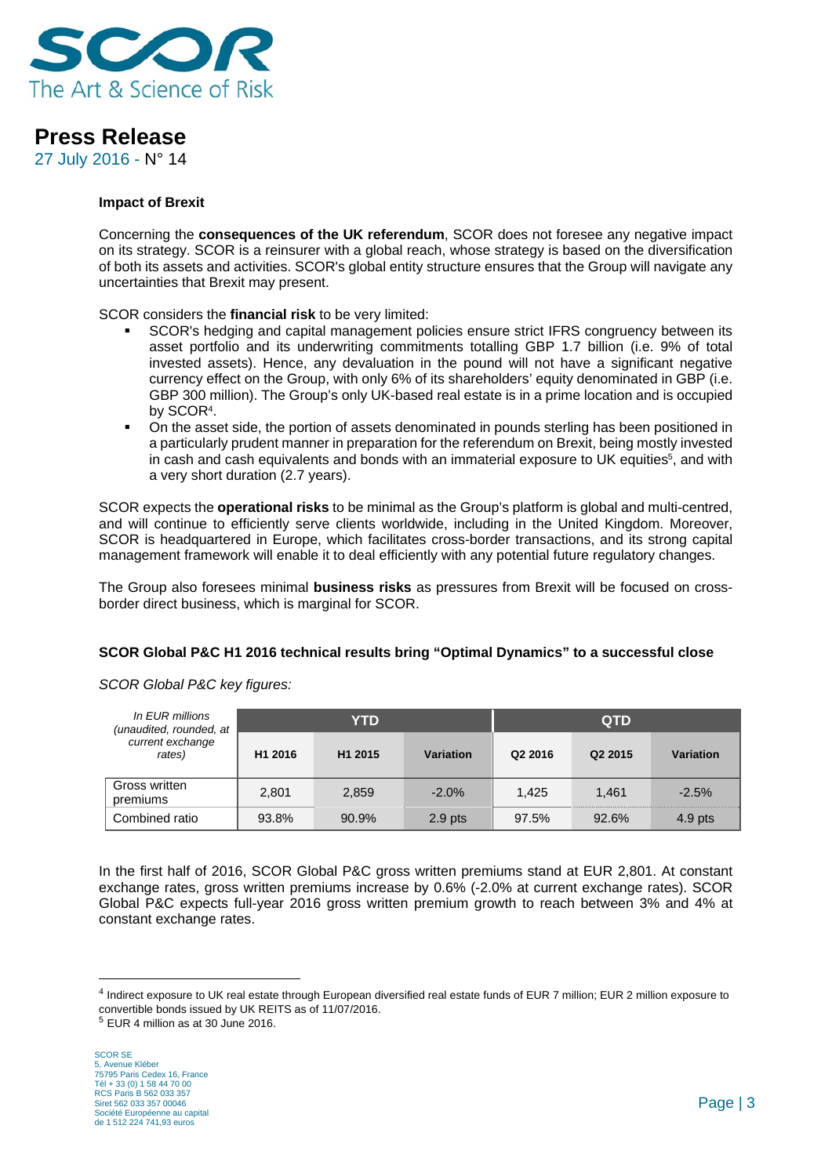

27 July 2016 - N° 14

#### **Impact of Brexit**

Concerning the **consequences of the UK referendum**, SCOR does not foresee any negative impact on its strategy. SCOR is a reinsurer with a global reach, whose strategy is based on the diversification of both its assets and activities. SCOR's global entity structure ensures that the Group will navigate any uncertainties that Brexit may present.

SCOR considers the **financial risk** to be very limited:

- SCOR's hedging and capital management policies ensure strict IFRS congruency between its asset portfolio and its underwriting commitments totalling GBP 1.7 billion (i.e. 9% of total invested assets). Hence, any devaluation in the pound will not have a significant negative currency effect on the Group, with only 6% of its shareholders' equity denominated in GBP (i.e. GBP 300 million). The Group's only UK-based real estate is in a prime location and is occupied by SCOR4.
- On the asset side, the portion of assets denominated in pounds sterling has been positioned in a particularly prudent manner in preparation for the referendum on Brexit, being mostly invested in cash and cash equivalents and bonds with an immaterial exposure to UK equities<sup>5</sup>, and with a very short duration (2.7 years).

SCOR expects the **operational risks** to be minimal as the Group's platform is global and multi-centred, and will continue to efficiently serve clients worldwide, including in the United Kingdom. Moreover, SCOR is headquartered in Europe, which facilitates cross-border transactions, and its strong capital management framework will enable it to deal efficiently with any potential future regulatory changes.

The Group also foresees minimal **business risks** as pressures from Brexit will be focused on crossborder direct business, which is marginal for SCOR.

### **SCOR Global P&C H1 2016 technical results bring "Optimal Dynamics" to a successful close**

| In EUR millions<br>(unaudited, rounded, at |         | YTD                 |           | <b>QTD</b>          |                     |           |
|--------------------------------------------|---------|---------------------|-----------|---------------------|---------------------|-----------|
| current exchange<br>rates)                 | H1 2016 | H <sub>1</sub> 2015 | Variation | Q <sub>2</sub> 2016 | Q <sub>2</sub> 2015 | Variation |
| Gross written<br>premiums                  | 2,801   | 2,859               | $-2.0%$   | 1.425               | 1.461               | $-2.5%$   |
| Combined ratio                             | 93.8%   | 90.9%               | $2.9$ pts | 97.5%               | 92.6%               | $4.9$ pts |

*SCOR Global P&C key figures:* 

In the first half of 2016, SCOR Global P&C gross written premiums stand at EUR 2,801. At constant exchange rates, gross written premiums increase by 0.6% (-2.0% at current exchange rates). SCOR Global P&C expects full-year 2016 gross written premium growth to reach between 3% and 4% at constant exchange rates.

<sup>4</sup> Indirect exposure to UK real estate through European diversified real estate funds of EUR 7 million; EUR 2 million exposure to convertible bonds issued by UK REITS as of 11/07/2016.

<sup>5</sup> EUR 4 million as at 30 June 2016.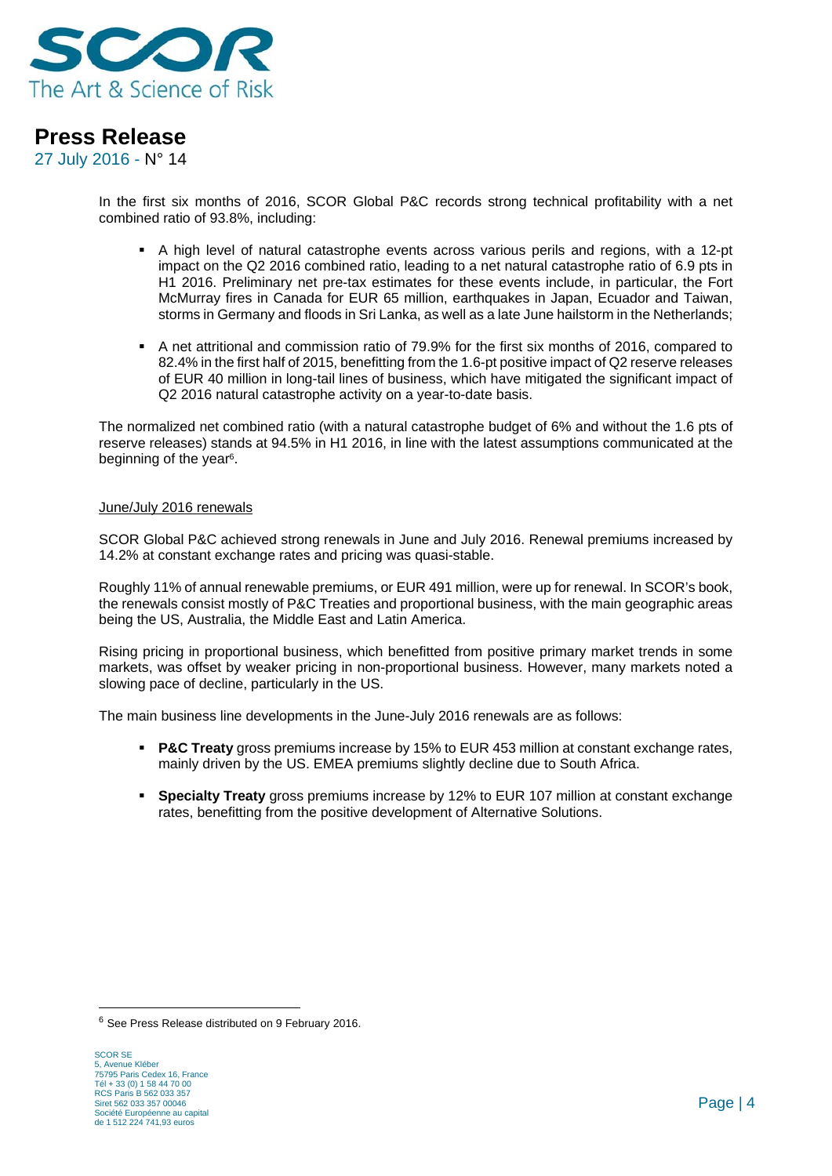

27 July 2016 - N° 14

In the first six months of 2016, SCOR Global P&C records strong technical profitability with a net combined ratio of 93.8%, including:

- A high level of natural catastrophe events across various perils and regions, with a 12-pt impact on the Q2 2016 combined ratio, leading to a net natural catastrophe ratio of 6.9 pts in H1 2016. Preliminary net pre-tax estimates for these events include, in particular, the Fort McMurray fires in Canada for EUR 65 million, earthquakes in Japan, Ecuador and Taiwan, storms in Germany and floods in Sri Lanka, as well as a late June hailstorm in the Netherlands;
- A net attritional and commission ratio of 79.9% for the first six months of 2016, compared to 82.4% in the first half of 2015, benefitting from the 1.6-pt positive impact of Q2 reserve releases of EUR 40 million in long-tail lines of business, which have mitigated the significant impact of Q2 2016 natural catastrophe activity on a year-to-date basis.

The normalized net combined ratio (with a natural catastrophe budget of 6% and without the 1.6 pts of reserve releases) stands at 94.5% in H1 2016, in line with the latest assumptions communicated at the beginning of the year<sup>6</sup>.

#### June/July 2016 renewals

SCOR Global P&C achieved strong renewals in June and July 2016. Renewal premiums increased by 14.2% at constant exchange rates and pricing was quasi-stable.

Roughly 11% of annual renewable premiums, or EUR 491 million, were up for renewal. In SCOR's book, the renewals consist mostly of P&C Treaties and proportional business, with the main geographic areas being the US, Australia, the Middle East and Latin America.

Rising pricing in proportional business, which benefitted from positive primary market trends in some markets, was offset by weaker pricing in non-proportional business. However, many markets noted a slowing pace of decline, particularly in the US.

The main business line developments in the June-July 2016 renewals are as follows:

- **P&C Treaty** gross premiums increase by 15% to EUR 453 million at constant exchange rates, mainly driven by the US. EMEA premiums slightly decline due to South Africa.
- **Specialty Treaty** gross premiums increase by 12% to EUR 107 million at constant exchange rates, benefitting from the positive development of Alternative Solutions.

<sup>6</sup> See Press Release distributed on 9 February 2016.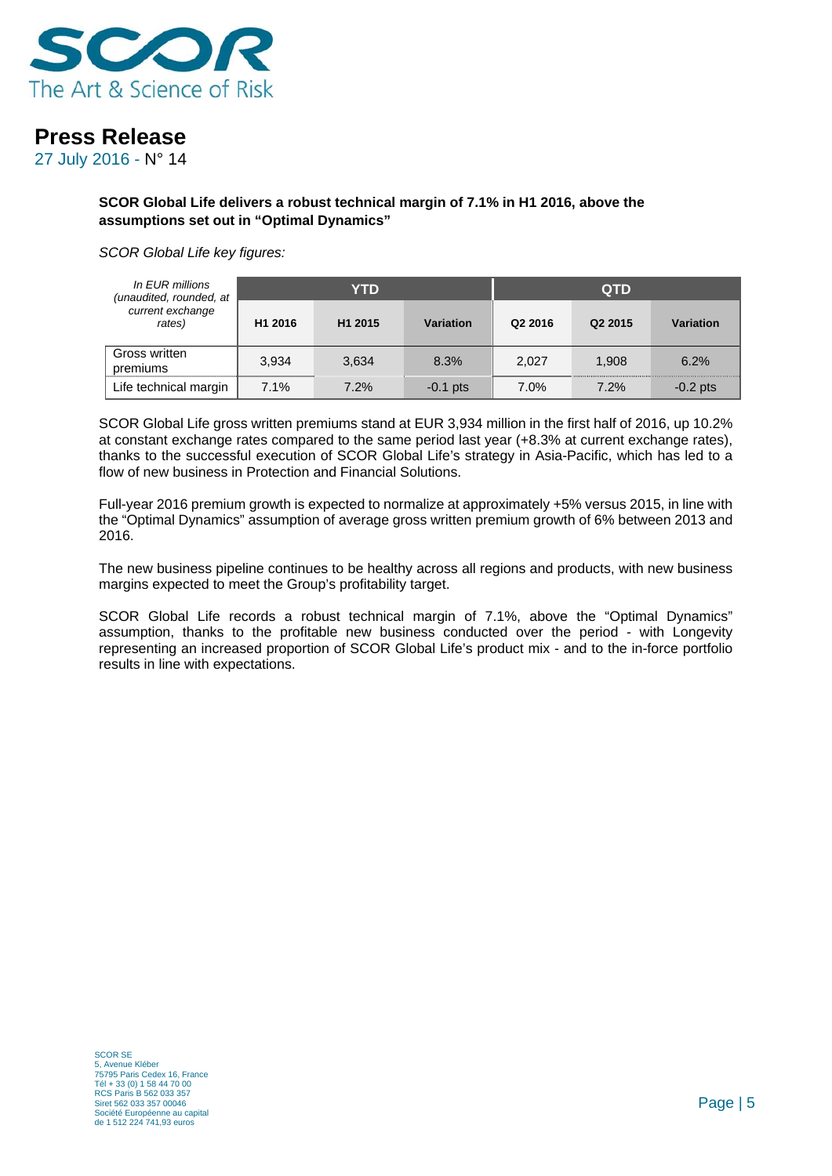

27 July 2016 - N° 14

**SCOR Global Life delivers a robust technical margin of 7.1% in H1 2016, above the assumptions set out in "Optimal Dynamics"** 

*SCOR Global Life key figures:* 

| In EUR millions<br>(unaudited, rounded, at |         | YTD                 |            | <b>QTD</b> |                     |            |
|--------------------------------------------|---------|---------------------|------------|------------|---------------------|------------|
| current exchange<br>rates)                 | H1 2016 | H <sub>1</sub> 2015 | Variation  | Q2 2016    | Q <sub>2</sub> 2015 | Variation  |
| Gross written<br>premiums                  | 3,934   | 3,634               | 8.3%       | 2.027      | 1.908               | 6.2%       |
| Life technical margin                      | 7.1%    | 7.2%                | $-0.1$ pts | 7.0%       | 7.2%                | $-0.2$ pts |

SCOR Global Life gross written premiums stand at EUR 3,934 million in the first half of 2016, up 10.2% at constant exchange rates compared to the same period last year (+8.3% at current exchange rates), thanks to the successful execution of SCOR Global Life's strategy in Asia-Pacific, which has led to a flow of new business in Protection and Financial Solutions.

Full-year 2016 premium growth is expected to normalize at approximately +5% versus 2015, in line with the "Optimal Dynamics" assumption of average gross written premium growth of 6% between 2013 and 2016.

The new business pipeline continues to be healthy across all regions and products, with new business margins expected to meet the Group's profitability target.

SCOR Global Life records a robust technical margin of 7.1%, above the "Optimal Dynamics" assumption, thanks to the profitable new business conducted over the period - with Longevity representing an increased proportion of SCOR Global Life's product mix - and to the in-force portfolio results in line with expectations.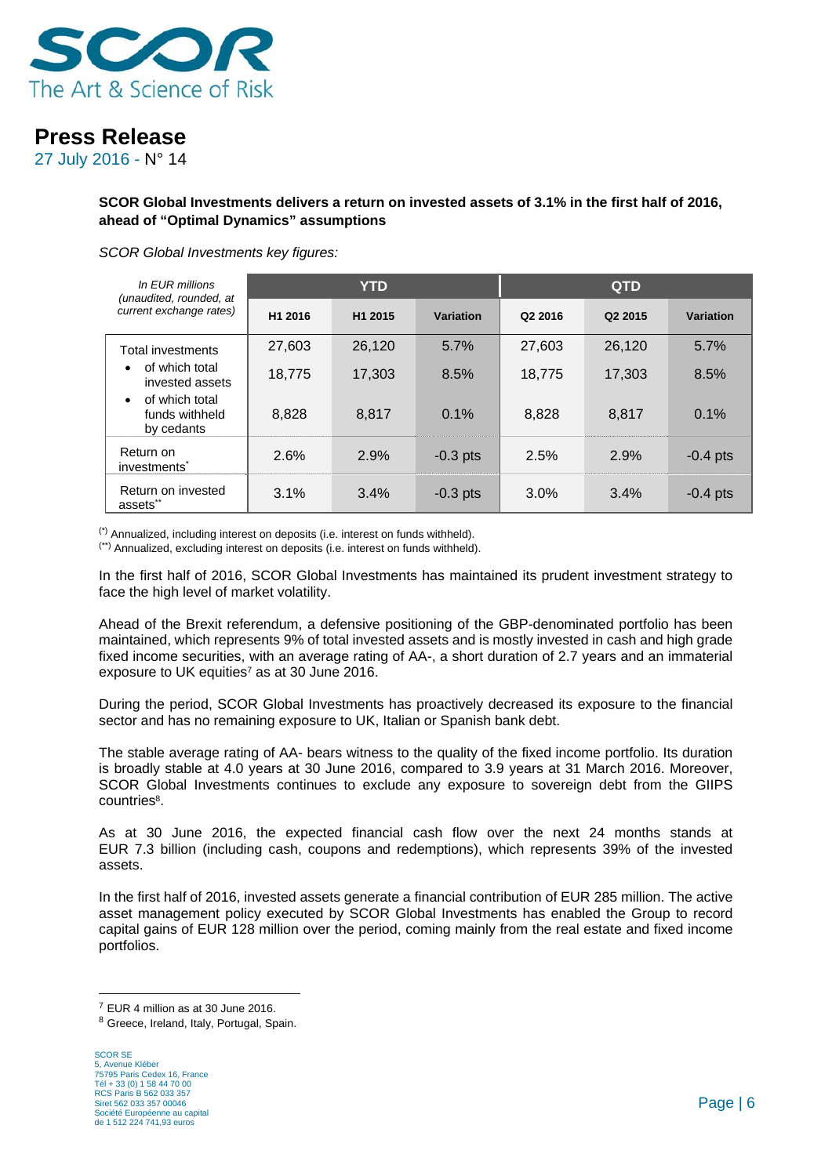

27 July 2016 - N° 14

### **SCOR Global Investments delivers a return on invested assets of 3.1% in the first half of 2016, ahead of "Optimal Dynamics" assumptions**

#### *SCOR Global Investments key figures:*

| In EUR millions<br>(unaudited, rounded, at                  |         | <b>YTD</b>          |            | <b>QTD</b> |                     |            |
|-------------------------------------------------------------|---------|---------------------|------------|------------|---------------------|------------|
| current exchange rates)                                     | H1 2016 | H <sub>1</sub> 2015 | Variation  | Q2 2016    | Q <sub>2</sub> 2015 | Variation  |
| <b>Total investments</b>                                    | 27,603  | 26.120              | 5.7%       | 27,603     | 26,120              | 5.7%       |
| of which total<br>$\bullet$<br>invested assets              | 18,775  | 17.303              | 8.5%       | 18,775     | 17.303              | 8.5%       |
| of which total<br>$\bullet$<br>funds withheld<br>by cedants | 8.828   | 8.817               | 0.1%       | 8,828      | 8.817               | 0.1%       |
| Return on<br>investments <sup>*</sup>                       | 2.6%    | 2.9%                | $-0.3$ pts | 2.5%       | 2.9%                | $-0.4$ pts |
| Return on invested<br>assets"                               | 3.1%    | 3.4%                | $-0.3$ pts | 3.0%       | 3.4%                | $-0.4$ pts |

(\*) Annualized, including interest on deposits (i.e. interest on funds withheld).

(\*\*) Annualized, excluding interest on deposits (i.e. interest on funds withheld).

In the first half of 2016, SCOR Global Investments has maintained its prudent investment strategy to face the high level of market volatility.

Ahead of the Brexit referendum, a defensive positioning of the GBP-denominated portfolio has been maintained, which represents 9% of total invested assets and is mostly invested in cash and high grade fixed income securities, with an average rating of AA-, a short duration of 2.7 years and an immaterial exposure to UK equities<sup>7</sup> as at 30 June 2016.

During the period, SCOR Global Investments has proactively decreased its exposure to the financial sector and has no remaining exposure to UK, Italian or Spanish bank debt.

The stable average rating of AA- bears witness to the quality of the fixed income portfolio. Its duration is broadly stable at 4.0 years at 30 June 2016, compared to 3.9 years at 31 March 2016. Moreover, SCOR Global Investments continues to exclude any exposure to sovereign debt from the GIIPS countries8.

As at 30 June 2016, the expected financial cash flow over the next 24 months stands at EUR 7.3 billion (including cash, coupons and redemptions), which represents 39% of the invested assets.

In the first half of 2016, invested assets generate a financial contribution of EUR 285 million. The active asset management policy executed by SCOR Global Investments has enabled the Group to record capital gains of EUR 128 million over the period, coming mainly from the real estate and fixed income portfolios.

<sup>7</sup> EUR 4 million as at 30 June 2016.

<sup>8</sup> Greece, Ireland, Italy, Portugal, Spain.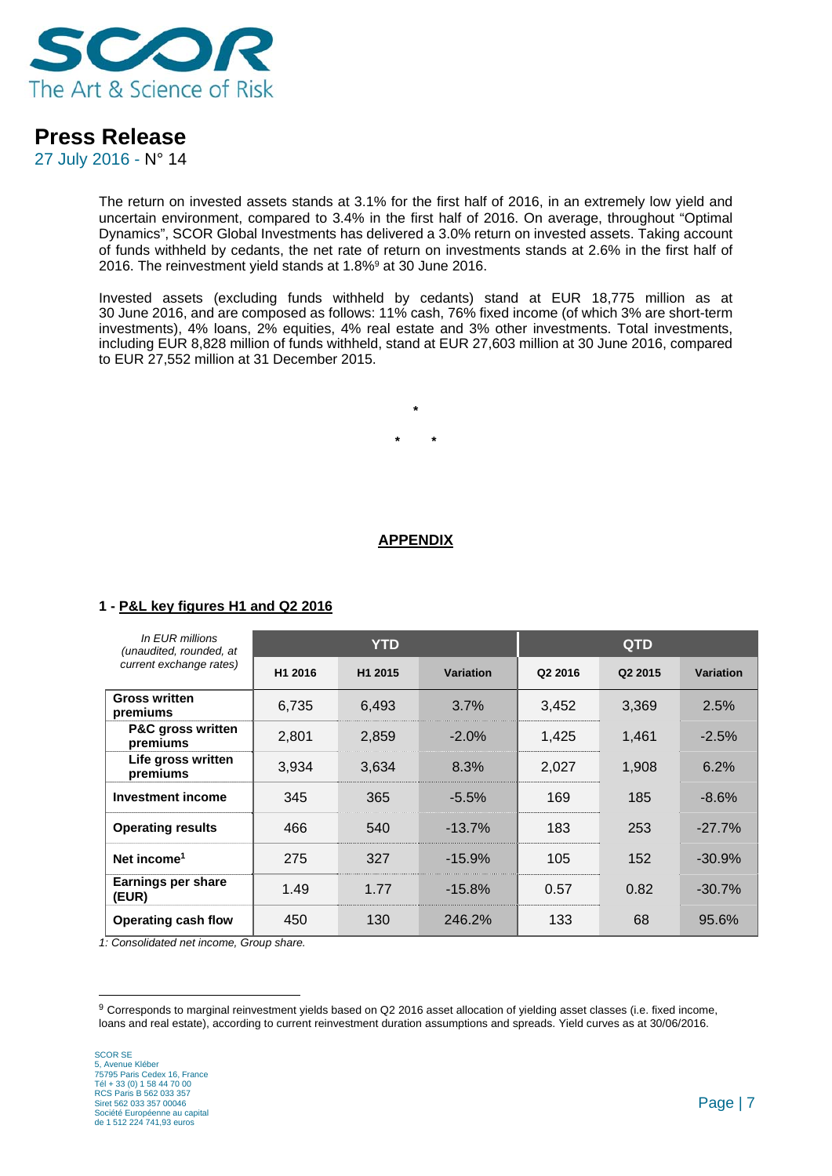

27 July 2016 - N° 14

The return on invested assets stands at 3.1% for the first half of 2016, in an extremely low yield and uncertain environment, compared to 3.4% in the first half of 2016. On average, throughout "Optimal Dynamics", SCOR Global Investments has delivered a 3.0% return on invested assets. Taking account of funds withheld by cedants, the net rate of return on investments stands at 2.6% in the first half of 2016. The reinvestment yield stands at 1.8%9 at 30 June 2016.

Invested assets (excluding funds withheld by cedants) stand at EUR 18,775 million as at 30 June 2016, and are composed as follows: 11% cash, 76% fixed income (of which 3% are short-term investments), 4% loans, 2% equities, 4% real estate and 3% other investments. Total investments, including EUR 8,828 million of funds withheld, stand at EUR 27,603 million at 30 June 2016, compared to EUR 27,552 million at 31 December 2015.

**\*** 

**\* \*** 

### **APPENDIX**

### **1 - P&L key figures H1 and Q2 2016**

| In EUR millions<br>(unaudited, rounded, at |         | <b>YTD</b>          |           | <b>QTD</b>          |                     |                  |
|--------------------------------------------|---------|---------------------|-----------|---------------------|---------------------|------------------|
| current exchange rates)                    | H1 2016 | H <sub>1</sub> 2015 | Variation | Q <sub>2</sub> 2016 | Q <sub>2</sub> 2015 | <b>Variation</b> |
| <b>Gross written</b><br>premiums           | 6,735   | 6.493               | $3.7\%$   | 3,452               | 3.369               | 2.5%             |
| <b>P&amp;C gross written</b><br>premiums   | 2,801   | 2,859               | $-2.0\%$  | 1,425               | 1,461               | $-2.5%$          |
| Life gross written<br>premiums             | 3,934   | 3,634               | 8.3%      | 2,027               | 1,908               | 6.2%             |
| Investment income                          | 345     | 365                 | $-5.5%$   | 169                 | 185                 | $-8.6%$          |
| <b>Operating results</b>                   | 466     | 540                 | $-13.7\%$ | 183                 | 253                 | $-27.7%$         |
| Net income <sup>1</sup>                    | 275     | 327                 | $-15.9%$  | 105                 | 152                 | $-30.9%$         |
| Earnings per share<br>(EUR)                | 1.49    | 1.77                | $-15.8%$  | 0.57                | 0.82                | $-30.7%$         |
| <b>Operating cash flow</b>                 | 450     | 130                 | 246.2%    | 133                 | 68                  | 95.6%            |

*1: Consolidated net income, Group share.* 

<sup>9</sup> Corresponds to marginal reinvestment yields based on Q2 2016 asset allocation of yielding asset classes (i.e. fixed income, loans and real estate), according to current reinvestment duration assumptions and spreads. Yield curves as at 30/06/2016.

<u>.</u>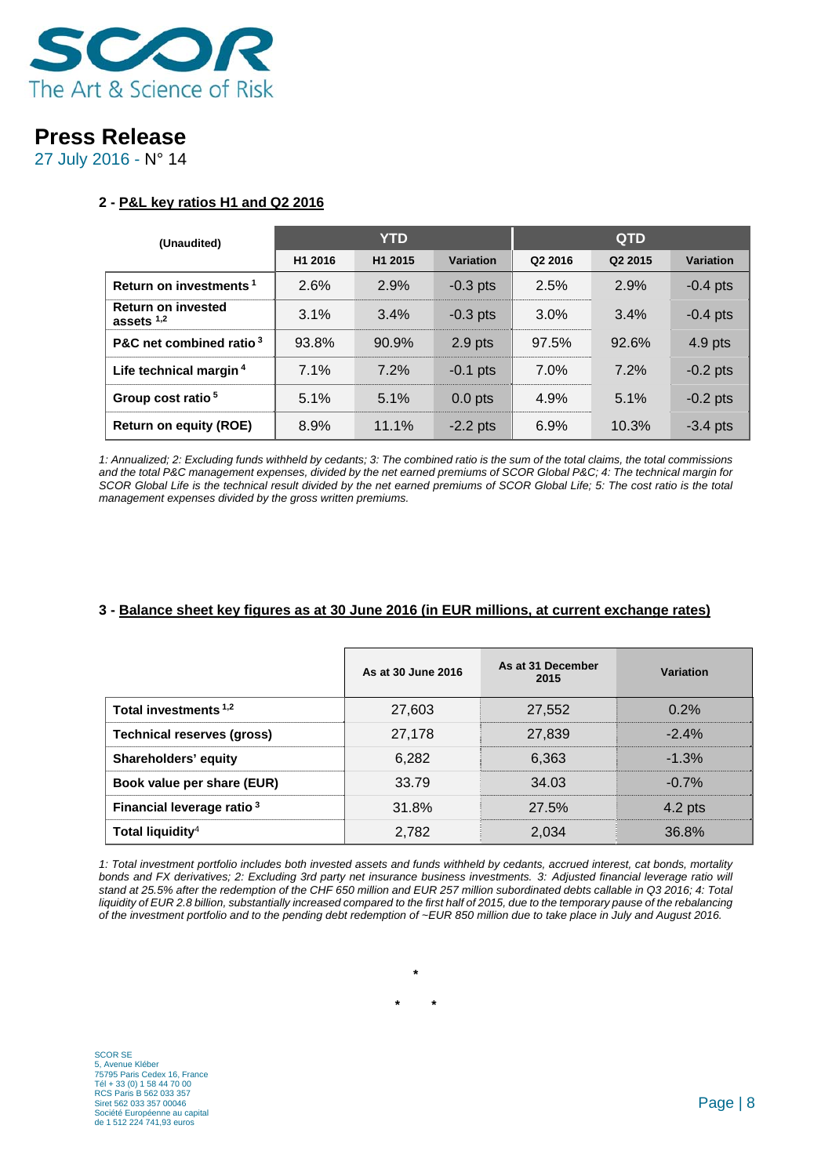

27 July 2016 - N° 14

### **2 - P&L key ratios H1 and Q2 2016**

| (Unaudited)                               | YTD.    |         |            | <b>QTD</b> |         |            |
|-------------------------------------------|---------|---------|------------|------------|---------|------------|
|                                           | H1 2016 | H1 2015 | Variation  | Q2 2016    | Q2 2015 | Variation  |
| Return on investments <sup>1</sup>        | 2.6%    | 2.9%    | $-0.3$ pts | 2.5%       | 2.9%    | $-0.4$ pts |
| <b>Return on invested</b><br>assets $1,2$ | 3.1%    | 3.4%    | $-0.3$ pts | $3.0\%$    | 3.4%    | $-0.4$ pts |
| P&C net combined ratio <sup>3</sup>       | 93.8%   | 90.9%   | $2.9$ pts  | 97.5%      | 92.6%   | $4.9$ pts  |
| Life technical margin <sup>4</sup>        | 7.1%    | 7.2%    | $-0.1$ pts | 7.0%       | 7.2%    | $-0.2$ pts |
| Group cost ratio <sup>5</sup>             | 5.1%    | 5.1%    | $0.0$ pts  | 4.9%       | 5.1%    | $-0.2$ pts |
| <b>Return on equity (ROE)</b>             | 8.9%    | 11.1%   | $-2.2$ pts | 6.9%       | 10.3%   | $-3.4$ pts |

*1: Annualized; 2: Excluding funds withheld by cedants; 3: The combined ratio is the sum of the total claims, the total commissions and the total P&C management expenses, divided by the net earned premiums of SCOR Global P&C; 4: The technical margin for SCOR Global Life is the technical result divided by the net earned premiums of SCOR Global Life; 5: The cost ratio is the total management expenses divided by the gross written premiums.* 

### **3 - Balance sheet key figures as at 30 June 2016 (in EUR millions, at current exchange rates)**

|                                       | As at 30 June 2016 | As at 31 December<br>2015 | Variation |
|---------------------------------------|--------------------|---------------------------|-----------|
| Total investments <sup>1,2</sup>      | 27,603             | 27,552                    | 0.2%      |
| <b>Technical reserves (gross)</b>     | 27,178             | 27,839                    | $-2.4%$   |
| Shareholders' equity                  | 6,282              | 6,363                     | $-1.3%$   |
| Book value per share (EUR)            | 33.79              | 34.03                     | $-0.7%$   |
| Financial leverage ratio <sup>3</sup> | 31.8%              | 27.5%                     | $4.2$ pts |
| Total liquidity <sup>4</sup>          | 2,782              | 2,034                     | 36.8%     |

*1: Total investment portfolio includes both invested assets and funds withheld by cedants, accrued interest, cat bonds, mortality bonds and FX derivatives; 2: Excluding 3rd party net insurance business investments. 3: Adjusted financial leverage ratio will stand at 25.5% after the redemption of the CHF 650 million and EUR 257 million subordinated debts callable in Q3 2016; 4: Total* liquidity of EUR 2.8 billion, substantially increased compared to the first half of 2015, due to the temporary pause of the rebalancing *of the investment portfolio and to the pending debt redemption of ~EUR 850 million due to take place in July and August 2016.* 

**\*** 

**\* \***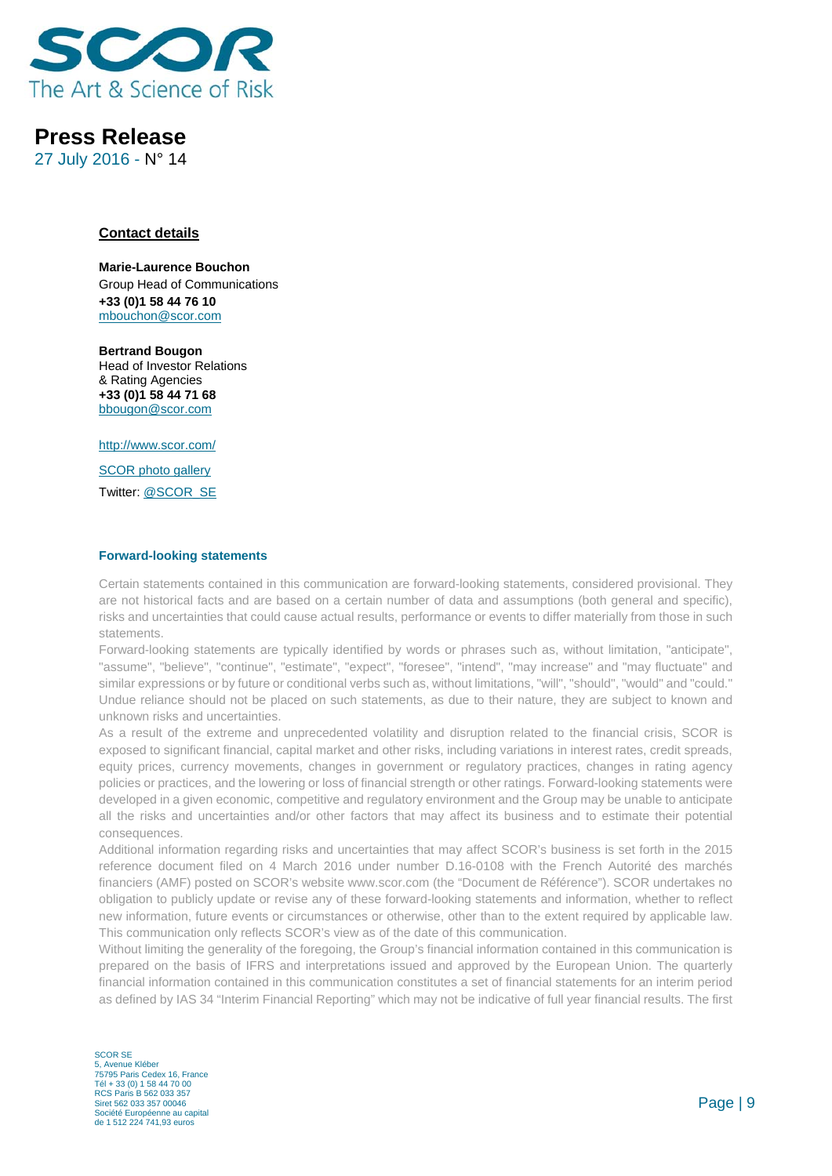

27 July 2016 - N° 14

#### **Contact details**

**Marie-Laurence Bouchon** Group Head of Communications **+33 (0)1 58 44 76 10** mbouchon@scor.com

**Bertrand Bougon**  Head of Investor Relations & Rating Agencies **+33 (0)1 58 44 71 68**  bbougon@scor.com

http://www.scor.com/

SCOR photo gallery Twitter: @SCOR\_SE

#### **Forward-looking statements**

Certain statements contained in this communication are forward-looking statements, considered provisional. They are not historical facts and are based on a certain number of data and assumptions (both general and specific), risks and uncertainties that could cause actual results, performance or events to differ materially from those in such statements.

Forward-looking statements are typically identified by words or phrases such as, without limitation, "anticipate", "assume", "believe", "continue", "estimate", "expect", "foresee", "intend", "may increase" and "may fluctuate" and similar expressions or by future or conditional verbs such as, without limitations, "will", "should", "would" and "could." Undue reliance should not be placed on such statements, as due to their nature, they are subject to known and unknown risks and uncertainties.

As a result of the extreme and unprecedented volatility and disruption related to the financial crisis, SCOR is exposed to significant financial, capital market and other risks, including variations in interest rates, credit spreads, equity prices, currency movements, changes in government or regulatory practices, changes in rating agency policies or practices, and the lowering or loss of financial strength or other ratings. Forward-looking statements were developed in a given economic, competitive and regulatory environment and the Group may be unable to anticipate all the risks and uncertainties and/or other factors that may affect its business and to estimate their potential consequences.

Additional information regarding risks and uncertainties that may affect SCOR's business is set forth in the 2015 reference document filed on 4 March 2016 under number D.16-0108 with the French Autorité des marchés financiers (AMF) posted on SCOR's website www.scor.com (the "Document de Référence"). SCOR undertakes no obligation to publicly update or revise any of these forward-looking statements and information, whether to reflect new information, future events or circumstances or otherwise, other than to the extent required by applicable law. This communication only reflects SCOR's view as of the date of this communication.

Without limiting the generality of the foregoing, the Group's financial information contained in this communication is prepared on the basis of IFRS and interpretations issued and approved by the European Union. The quarterly financial information contained in this communication constitutes a set of financial statements for an interim period as defined by IAS 34 "Interim Financial Reporting" which may not be indicative of full year financial results. The first